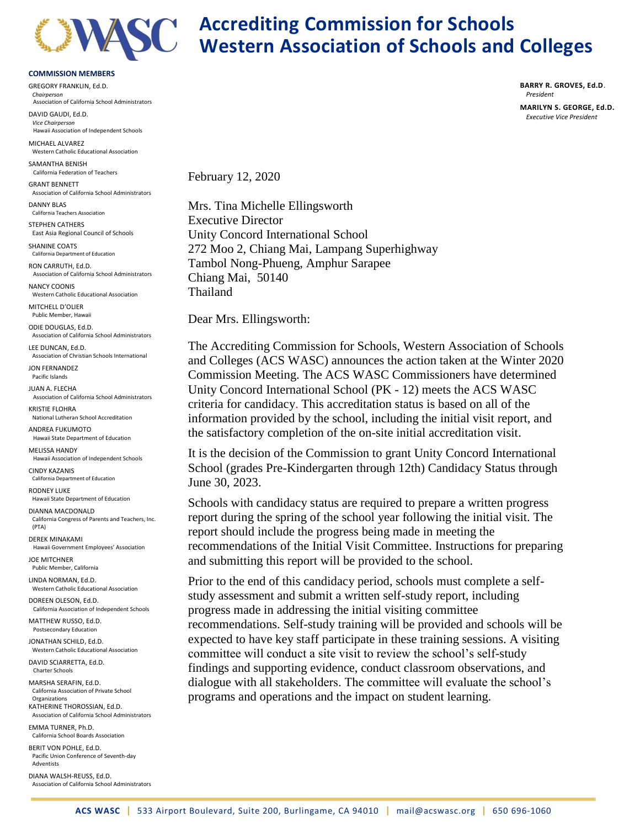

## **Accrediting Commission for Schools Western Association of Schools and Colleges**

## **COMMISSION MEMBERS**

GREGORY FRANKLIN, Ed.D. *Chairperson* Association of California School Administrators

DAVID GAUDI, Ed.D. *Vice Chairperson* Hawaii Association of Independent Schools MICHAEL ALVAREZ

Western Catholic Educational Association SAMANTHA BENISH

California Federation of Teachers GRANT BENNETT Association of California School Administrators

DANNY BLAS California Teachers Association

STEPHEN CATHERS East Asia Regional Council of Schools

SHANINE COATS California Department of Education

RON CARRUTH, Ed.D. Association of California School Administrators

NANCY COONIS Western Catholic Educational Association

MITCHELL D'OLIER Public Member, Hawaii

ODIE DOUGLAS, Ed.D. Association of California School Administrators

LEE DUNCAN, Ed.D. Association of Christian Schools International

JON FERNANDEZ Pacific Islands

JUAN A. FLECHA Association of California School Administrators

KRISTIE FLOHRA National Lutheran School Accreditation

ANDREA FUKUMOTO Hawaii State Department of Education

MELISSA HANDY Hawaii Association of Independent Schools CINDY KAZANIS

California Department of Education RODNEY LUKE

Hawaii State Department of Education DIANNA MACDONALD

California Congress of Parents and Teachers, Inc. (PTA)

DEREK MINAKAMI Hawaii Government Employees' Association

JOE MITCHNER Public Member, California

LINDA NORMAN, Ed.D. Western Catholic Educational Association

DOREEN OLESON, Ed.D. California Association of Independent Schools

MATTHEW RUSSO, Ed.D. Postsecondary Education

JONATHAN SCHILD, Ed.D. Western Catholic Educational Association

DAVID SCIARRETTA, Ed.D. Charter Schools

MARSHA SERAFIN, Ed.D. California Association of Private School Organizations KATHERINE THOROSSIAN, Ed.D. Association of California School Administrators

EMMA TURNER, Ph.D. California School Boards Association

BERIT VON POHLE, Ed.D. Pacific Union Conference of Seventh-day Adventists

DIANA WALSH-REUSS, Ed.D. Association of California School Administrators **BARRY R. GROVES, Ed.D**. *President*

**MARILYN S. GEORGE, Ed.D.** *Executive Vice President*

February 12, 2020

Mrs. Tina Michelle Ellingsworth Executive Director Unity Concord International School 272 Moo 2, Chiang Mai, Lampang Superhighway Tambol Nong-Phueng, Amphur Sarapee Chiang Mai, 50140 Thailand

Dear Mrs. Ellingsworth:

The Accrediting Commission for Schools, Western Association of Schools and Colleges (ACS WASC) announces the action taken at the Winter 2020 Commission Meeting. The ACS WASC Commissioners have determined Unity Concord International School (PK - 12) meets the ACS WASC criteria for candidacy. This accreditation status is based on all of the information provided by the school, including the initial visit report, and the satisfactory completion of the on-site initial accreditation visit.

It is the decision of the Commission to grant Unity Concord International School (grades Pre-Kindergarten through 12th) Candidacy Status through June 30, 2023.

Schools with candidacy status are required to prepare a written progress report during the spring of the school year following the initial visit. The report should include the progress being made in meeting the recommendations of the Initial Visit Committee. Instructions for preparing and submitting this report will be provided to the school.

Prior to the end of this candidacy period, schools must complete a selfstudy assessment and submit a written self-study report, including progress made in addressing the initial visiting committee recommendations. Self-study training will be provided and schools will be expected to have key staff participate in these training sessions. A visiting committee will conduct a site visit to review the school's self-study findings and supporting evidence, conduct classroom observations, and dialogue with all stakeholders. The committee will evaluate the school's programs and operations and the impact on student learning.